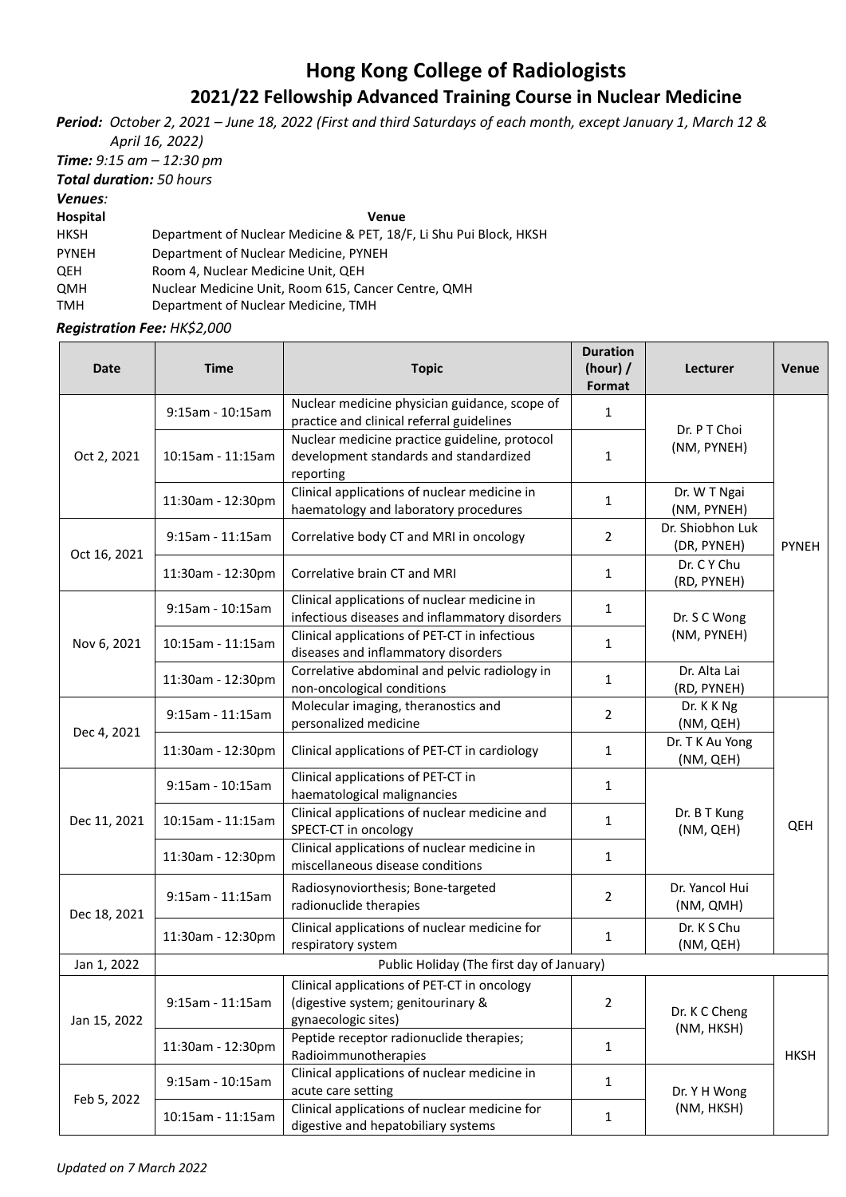## **Hong Kong College of Radiologists 2021/22 Fellowship Advanced Training Course in Nuclear Medicine**

*Period: October 2, 2021 – June 18, 2022 (First and third Saturdays of each month, except January 1, March 12 & April 16, 2022)*

*Time: 9:15 am – 12:30 pm*

*Total duration: 50 hours*

*Venues:* 

**Hospital Venue**

| HKSH         | Department of Nuclear Medicine & PET, 18/F, Li Shu Pui Block, HKSH |
|--------------|--------------------------------------------------------------------|
| <b>PYNEH</b> | Department of Nuclear Medicine, PYNEH                              |

QEH Room 4, Nuclear Medicine Unit, QEH

QMH Nuclear Medicine Unit, Room 615, Cancer Centre, QMH

TMH Department of Nuclear Medicine, TMH

*Registration Fee: HK\$2,000*

| <b>Date</b>  | <b>Time</b>                               | <b>Topic</b>                                                                                             | <b>Duration</b><br>(hour) /<br>Format | <b>Lecturer</b>                 | <b>Venue</b> |  |
|--------------|-------------------------------------------|----------------------------------------------------------------------------------------------------------|---------------------------------------|---------------------------------|--------------|--|
| Oct 2, 2021  | 9:15am - 10:15am                          | Nuclear medicine physician guidance, scope of<br>practice and clinical referral guidelines               | 1                                     | Dr. P T Choi<br>(NM, PYNEH)     |              |  |
|              | 10:15am - 11:15am                         | Nuclear medicine practice guideline, protocol<br>development standards and standardized<br>reporting     | 1                                     |                                 |              |  |
|              | 11:30am - 12:30pm                         | Clinical applications of nuclear medicine in<br>haematology and laboratory procedures                    | $\mathbf{1}$                          | Dr. W T Ngai<br>(NM, PYNEH)     | <b>PYNEH</b> |  |
| Oct 16, 2021 | $9:15$ am - 11:15am                       | Correlative body CT and MRI in oncology                                                                  | $\overline{2}$                        | Dr. Shiobhon Luk<br>(DR, PYNEH) |              |  |
|              | 11:30am - 12:30pm                         | Correlative brain CT and MRI                                                                             | 1                                     | Dr. C Y Chu<br>(RD, PYNEH)      |              |  |
| Nov 6, 2021  | 9:15am - 10:15am                          | Clinical applications of nuclear medicine in<br>infectious diseases and inflammatory disorders           | $\mathbf{1}$                          | Dr. S C Wong                    |              |  |
|              | 10:15am - 11:15am                         | Clinical applications of PET-CT in infectious<br>diseases and inflammatory disorders                     | 1                                     | (NM, PYNEH)                     |              |  |
|              | 11:30am - 12:30pm                         | Correlative abdominal and pelvic radiology in<br>non-oncological conditions                              | $\mathbf{1}$                          | Dr. Alta Lai<br>(RD, PYNEH)     |              |  |
| Dec 4, 2021  | 9:15am - 11:15am                          | Molecular imaging, theranostics and<br>personalized medicine                                             | 2                                     | Dr. K K Ng<br>(NM, QEH)         |              |  |
|              | 11:30am - 12:30pm                         | Clinical applications of PET-CT in cardiology                                                            | 1                                     | Dr. T K Au Yong<br>(NM, QEH)    |              |  |
| Dec 11, 2021 | 9:15am - 10:15am                          | Clinical applications of PET-CT in<br>haematological malignancies                                        | 1                                     |                                 | QEH          |  |
|              | 10:15am - 11:15am                         | Clinical applications of nuclear medicine and<br>SPECT-CT in oncology                                    | $\mathbf{1}$                          | Dr. B T Kung<br>(NM, QEH)       |              |  |
|              | 11:30am - 12:30pm                         | Clinical applications of nuclear medicine in<br>miscellaneous disease conditions                         | 1                                     |                                 |              |  |
| Dec 18, 2021 | 9:15am - 11:15am                          | Radiosynoviorthesis; Bone-targeted<br>radionuclide therapies                                             | $\overline{2}$                        | Dr. Yancol Hui<br>(NM, QMH)     |              |  |
|              | 11:30am - 12:30pm                         | Clinical applications of nuclear medicine for<br>respiratory system                                      | $\mathbf{1}$                          | Dr. K S Chu<br>(NM, QEH)        |              |  |
| Jan 1, 2022  | Public Holiday (The first day of January) |                                                                                                          |                                       |                                 |              |  |
| Jan 15, 2022 | 9:15am - 11:15am                          | Clinical applications of PET-CT in oncology<br>(digestive system; genitourinary &<br>gynaecologic sites) | $\overline{2}$                        | Dr. K C Cheng                   |              |  |
|              | 11:30am - 12:30pm                         | Peptide receptor radionuclide therapies;<br>Radioimmunotherapies                                         | $\mathbf{1}$                          | (NM, HKSH)                      | <b>HKSH</b>  |  |
| Feb 5, 2022  | 9:15am - 10:15am                          | Clinical applications of nuclear medicine in<br>acute care setting                                       | $\mathbf{1}$                          | Dr. Y H Wong<br>(NM, HKSH)      |              |  |
|              | 10:15am - 11:15am                         | Clinical applications of nuclear medicine for<br>digestive and hepatobiliary systems                     | 1                                     |                                 |              |  |